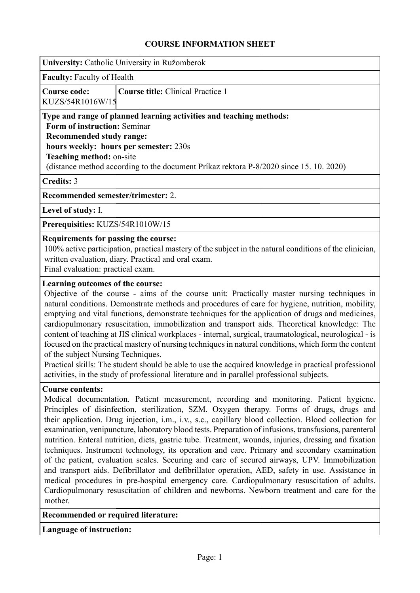## **COURSE INFORMATION SHEET**

| University: Catholic University in Ružomberok                                                                                                                                                                                                                                                                                                                                                                                                                                                                                                                                                                                                                                                                                                                                                                                                                                                                                                                                                                                                         |  |  |  |  |  |
|-------------------------------------------------------------------------------------------------------------------------------------------------------------------------------------------------------------------------------------------------------------------------------------------------------------------------------------------------------------------------------------------------------------------------------------------------------------------------------------------------------------------------------------------------------------------------------------------------------------------------------------------------------------------------------------------------------------------------------------------------------------------------------------------------------------------------------------------------------------------------------------------------------------------------------------------------------------------------------------------------------------------------------------------------------|--|--|--|--|--|
| <b>Faculty: Faculty of Health</b>                                                                                                                                                                                                                                                                                                                                                                                                                                                                                                                                                                                                                                                                                                                                                                                                                                                                                                                                                                                                                     |  |  |  |  |  |
| <b>Course code:</b><br><b>Course title: Clinical Practice 1</b><br>KUZS/54R1016W/15                                                                                                                                                                                                                                                                                                                                                                                                                                                                                                                                                                                                                                                                                                                                                                                                                                                                                                                                                                   |  |  |  |  |  |
| Type and range of planned learning activities and teaching methods:<br>Form of instruction: Seminar<br><b>Recommended study range:</b><br>hours weekly: hours per semester: 230s<br>Teaching method: on-site<br>(distance method according to the document Príkaz rektora P-8/2020 since 15. 10. 2020)                                                                                                                                                                                                                                                                                                                                                                                                                                                                                                                                                                                                                                                                                                                                                |  |  |  |  |  |
| <b>Credits: 3</b>                                                                                                                                                                                                                                                                                                                                                                                                                                                                                                                                                                                                                                                                                                                                                                                                                                                                                                                                                                                                                                     |  |  |  |  |  |
| Recommended semester/trimester: 2.                                                                                                                                                                                                                                                                                                                                                                                                                                                                                                                                                                                                                                                                                                                                                                                                                                                                                                                                                                                                                    |  |  |  |  |  |
| Level of study: I.                                                                                                                                                                                                                                                                                                                                                                                                                                                                                                                                                                                                                                                                                                                                                                                                                                                                                                                                                                                                                                    |  |  |  |  |  |
| Prerequisities: KUZS/54R1010W/15                                                                                                                                                                                                                                                                                                                                                                                                                                                                                                                                                                                                                                                                                                                                                                                                                                                                                                                                                                                                                      |  |  |  |  |  |
| Requirements for passing the course:<br>100% active participation, practical mastery of the subject in the natural conditions of the clinician,<br>written evaluation, diary. Practical and oral exam.<br>Final evaluation: practical exam.                                                                                                                                                                                                                                                                                                                                                                                                                                                                                                                                                                                                                                                                                                                                                                                                           |  |  |  |  |  |
| Learning outcomes of the course:<br>Objective of the course - aims of the course unit: Practically master nursing techniques in<br>natural conditions. Demonstrate methods and procedures of care for hygiene, nutrition, mobility,<br>emptying and vital functions, demonstrate techniques for the application of drugs and medicines,<br>cardiopulmonary resuscitation, immobilization and transport aids. Theoretical knowledge: The<br>content of teaching at JIS clinical workplaces - internal, surgical, traumatological, neurological - is<br>focused on the practical mastery of nursing techniques in natural conditions, which form the content<br>of the subject Nursing Techniques.<br>Practical skills: The student should be able to use the acquired knowledge in practical professional<br>activities, in the study of professional literature and in parallel professional subjects.                                                                                                                                                |  |  |  |  |  |
| <b>Course contents:</b><br>Medical documentation. Patient measurement, recording and monitoring. Patient hygiene.<br>Principles of disinfection, sterilization, SZM. Oxygen therapy. Forms of drugs, drugs and<br>their application. Drug injection, i.m., i.v., s.c., capillary blood collection. Blood collection for<br>examination, venipuncture, laboratory blood tests. Preparation of infusions, transfusions, parenteral<br>nutrition. Enteral nutrition, diets, gastric tube. Treatment, wounds, injuries, dressing and fixation<br>techniques. Instrument technology, its operation and care. Primary and secondary examination<br>of the patient, evaluation scales. Securing and care of secured airways, UPV. Immobilization<br>and transport aids. Defibrillator and defibrillator operation, AED, safety in use. Assistance in<br>medical procedures in pre-hospital emergency care. Cardiopulmonary resuscitation of adults.<br>Cardiopulmonary resuscitation of children and newborns. Newborn treatment and care for the<br>mother. |  |  |  |  |  |
| Recommended or required literature:                                                                                                                                                                                                                                                                                                                                                                                                                                                                                                                                                                                                                                                                                                                                                                                                                                                                                                                                                                                                                   |  |  |  |  |  |
| <b>Language of instruction:</b>                                                                                                                                                                                                                                                                                                                                                                                                                                                                                                                                                                                                                                                                                                                                                                                                                                                                                                                                                                                                                       |  |  |  |  |  |